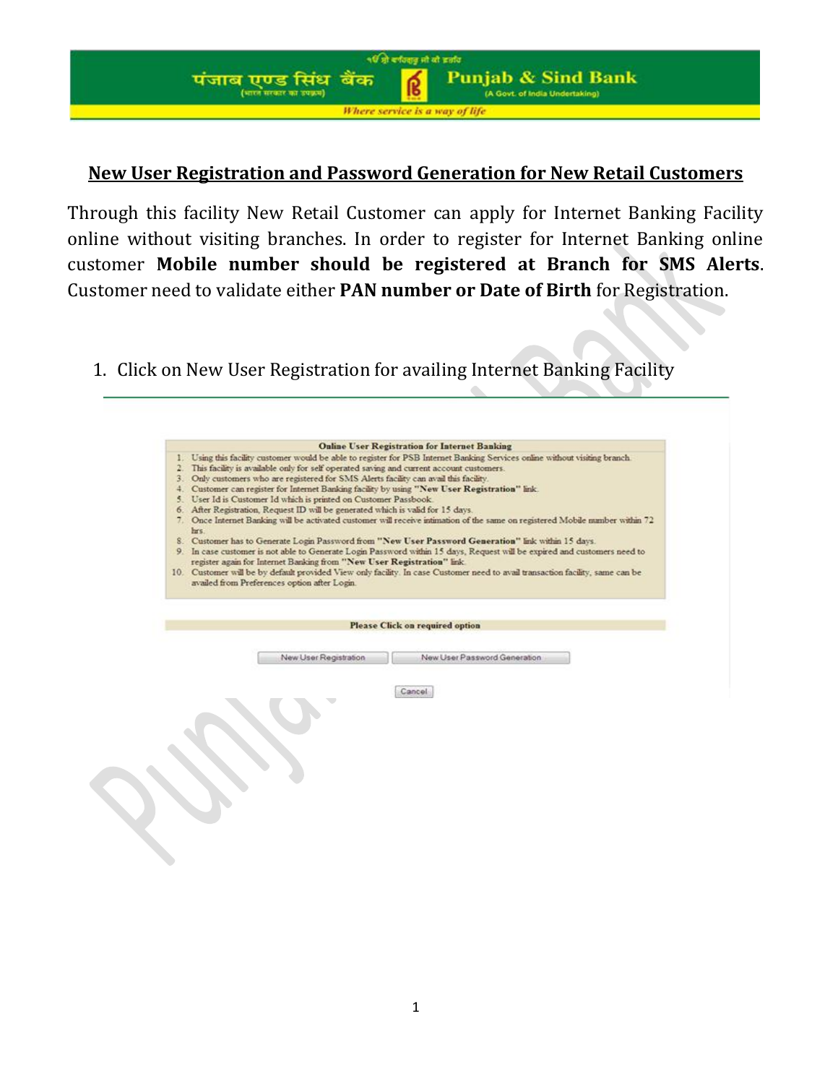**Punjab & Sind Bank** (A Govt. of India Undertaking)

Where service is a way of life

पंजाब एण्ड सिंध बैंक<br>(पाल पाक पा सका)

५६ से बर्गवसूत्र मो बो ब्रसंद

## **New User Registration and Password Generation for New Retail Customers**

Through this facility New Retail Customer can apply for Internet Banking Facility online without visiting branches. In order to register for Internet Banking online customer **Mobile number should be registered at Branch for SMS Alerts**. Customer need to validate either **PAN number or Date of Birth** for Registration.

1. Click on New User Registration for availing Internet Banking Facility

| hrs. | 1. Using this facility customer would be able to register for PSB Internet Banking Services online without visiting branch<br>This facility is available only for self operated saving and current account customers.<br>3. Only customers who are registered for SMS Alerts facility can avail this facility.<br>4. Customer can register for Internet Banking facility by using "New User Registration" link.<br>5. User Id is Customer Id which is printed on Customer Passbook.<br>6. After Registration, Request ID will be generated which is valid for 15 days.<br>7. Once Internet Banking will be activated customer will receive intimation of the same on registered Mobile number within 72<br>8. Customer has to Generate Login Password from "New User Password Generation" link within 15 days.<br>9. In case customer is not able to Generate Login Password within 15 days, Request will be expired and customers need to<br>register again for Internet Banking from "New User Registration" link<br>10. Customer will be by default provided View only facility. In case Customer need to avail transaction facility, same can be<br>availed from Preferences option after Login. | <b>Online User Registration for Internet Banking</b> |  |
|------|------------------------------------------------------------------------------------------------------------------------------------------------------------------------------------------------------------------------------------------------------------------------------------------------------------------------------------------------------------------------------------------------------------------------------------------------------------------------------------------------------------------------------------------------------------------------------------------------------------------------------------------------------------------------------------------------------------------------------------------------------------------------------------------------------------------------------------------------------------------------------------------------------------------------------------------------------------------------------------------------------------------------------------------------------------------------------------------------------------------------------------------------------------------------------------------------------|------------------------------------------------------|--|
|      |                                                                                                                                                                                                                                                                                                                                                                                                                                                                                                                                                                                                                                                                                                                                                                                                                                                                                                                                                                                                                                                                                                                                                                                                      | <b>Please Click on required option</b>               |  |
|      |                                                                                                                                                                                                                                                                                                                                                                                                                                                                                                                                                                                                                                                                                                                                                                                                                                                                                                                                                                                                                                                                                                                                                                                                      |                                                      |  |
|      | New User Registration                                                                                                                                                                                                                                                                                                                                                                                                                                                                                                                                                                                                                                                                                                                                                                                                                                                                                                                                                                                                                                                                                                                                                                                | New User Password Generation                         |  |
|      |                                                                                                                                                                                                                                                                                                                                                                                                                                                                                                                                                                                                                                                                                                                                                                                                                                                                                                                                                                                                                                                                                                                                                                                                      | Cancel                                               |  |
|      |                                                                                                                                                                                                                                                                                                                                                                                                                                                                                                                                                                                                                                                                                                                                                                                                                                                                                                                                                                                                                                                                                                                                                                                                      |                                                      |  |
|      |                                                                                                                                                                                                                                                                                                                                                                                                                                                                                                                                                                                                                                                                                                                                                                                                                                                                                                                                                                                                                                                                                                                                                                                                      |                                                      |  |
|      |                                                                                                                                                                                                                                                                                                                                                                                                                                                                                                                                                                                                                                                                                                                                                                                                                                                                                                                                                                                                                                                                                                                                                                                                      |                                                      |  |
|      |                                                                                                                                                                                                                                                                                                                                                                                                                                                                                                                                                                                                                                                                                                                                                                                                                                                                                                                                                                                                                                                                                                                                                                                                      |                                                      |  |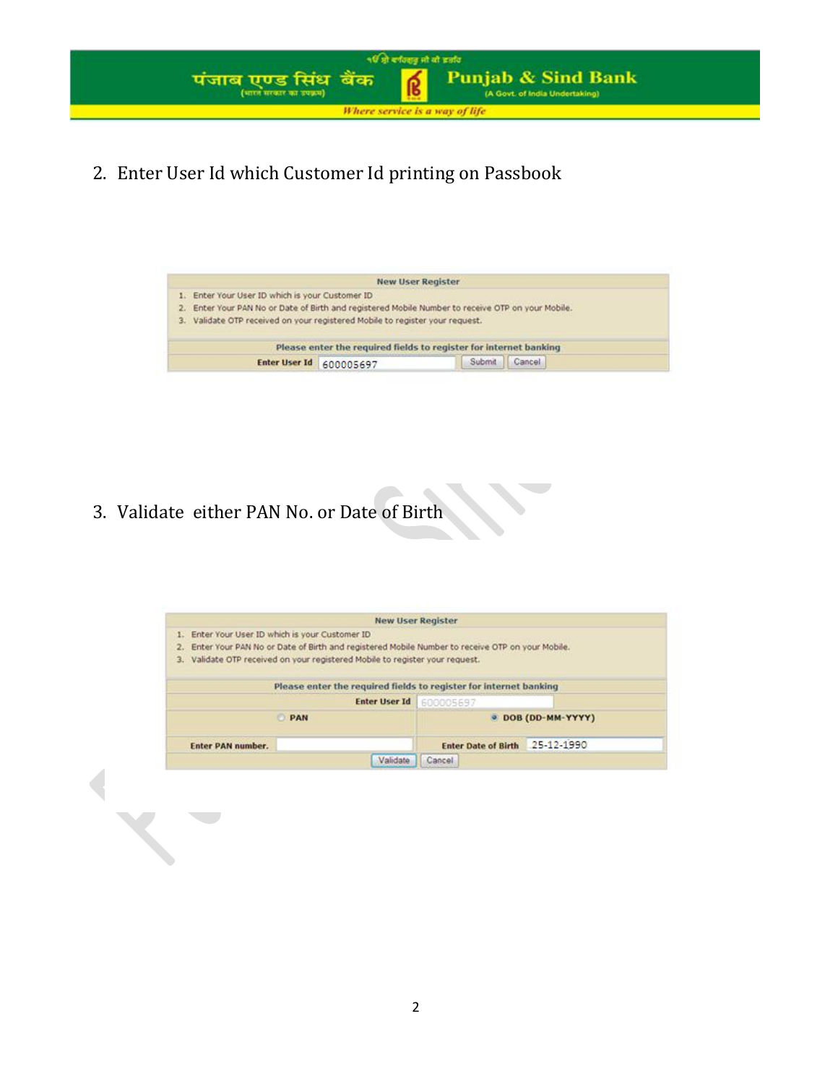

2. Enter User Id which Customer Id printing on Passbook

|                                                                                                       | <b>New User Register</b>                                          |  |  |
|-------------------------------------------------------------------------------------------------------|-------------------------------------------------------------------|--|--|
| Enter Your User ID which is your Customer ID                                                          |                                                                   |  |  |
| Enter Your PAN No or Date of Birth and registered Mobile Number to receive OTP on your Mobile.<br>2.7 |                                                                   |  |  |
| 3. Validate OTP received on your registered Mobile to register your request.                          |                                                                   |  |  |
|                                                                                                       |                                                                   |  |  |
|                                                                                                       | Please enter the required fields to register for internet banking |  |  |

3. Validate either PAN No. or Date of Birth

| <b>New User Register</b>                                                                       |                                          |
|------------------------------------------------------------------------------------------------|------------------------------------------|
| 1. Enter Your User ID which is your Customer ID.                                               |                                          |
| Enter Your PAN No or Date of Birth and registered Mobile Number to receive OTP on your Mobile. |                                          |
| 3. Validate OTP received on your registered Mobile to register your reguest.                   |                                          |
|                                                                                                |                                          |
| Please enter the required fields to register for internet banking                              |                                          |
| Enter User Id 600005697                                                                        |                                          |
| <b>PAN</b>                                                                                     | @ DOB (DD-MM-YYYY)                       |
| <b>Enter PAN number.</b>                                                                       | 25-12-1990<br><b>Enter Date of Birth</b> |
| Validate                                                                                       | Cancel                                   |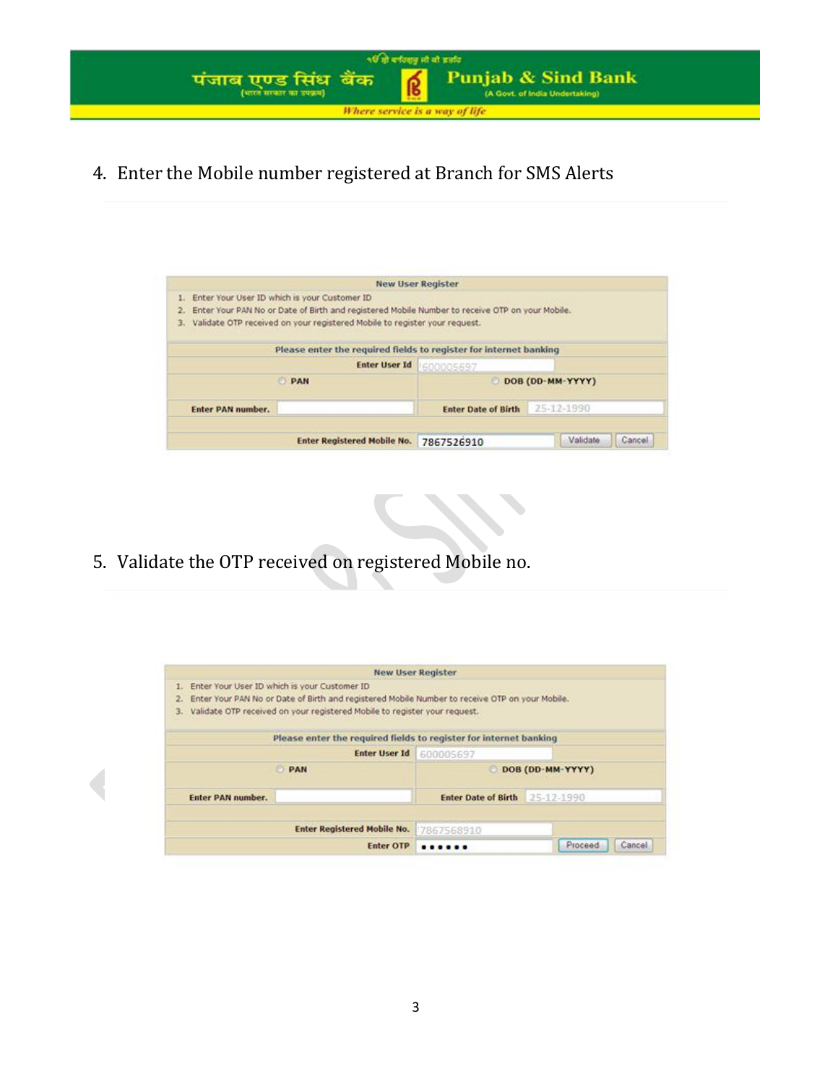

4. Enter the Mobile number registered at Branch for SMS Alerts

| Enter Your User ID which is your Customer ID                                                   |                                    |                                                                   |                    |
|------------------------------------------------------------------------------------------------|------------------------------------|-------------------------------------------------------------------|--------------------|
| Enter Your PAN No or Date of Birth and registered Mobile Number to receive OTP on your Mobile. |                                    |                                                                   |                    |
| Validate OTP received on your registered Mobile to register your request.                      |                                    |                                                                   |                    |
|                                                                                                |                                    |                                                                   |                    |
|                                                                                                |                                    | Please enter the required fields to register for internet banking |                    |
|                                                                                                | <b>Enter User Id</b>               | 1600005697                                                        |                    |
| <b>PAN</b>                                                                                     |                                    |                                                                   | DOB (DD-MM-YYYY)   |
| <b>Enter PAN number.</b>                                                                       |                                    | <b>Enter Date of Birth</b>                                        | 25-12-1990         |
|                                                                                                |                                    |                                                                   |                    |
|                                                                                                | <b>Enter Registered Mobile No.</b> | 7867526910                                                        | Validate<br>Cancel |

5. Validate the OTP received on registered Mobile no.

| 2.<br>3.          | Enter Your PAN No or Date of Birth and registered Mobile Number to receive OTP on your Mobile.<br>Validate OTP received on your registered Mobile to register your request. |                                |                  |
|-------------------|-----------------------------------------------------------------------------------------------------------------------------------------------------------------------------|--------------------------------|------------------|
|                   | Please enter the required fields to register for internet banking                                                                                                           |                                |                  |
|                   | <b>Enter User Id</b>                                                                                                                                                        | 600005697                      |                  |
|                   | <b>PAN</b>                                                                                                                                                                  |                                | DOB (DD-MM-YYYY) |
| Enter PAN number. |                                                                                                                                                                             | Enter Date of Birth 25-12-1990 |                  |
|                   | <b>Enter Registered Mobile No.</b>                                                                                                                                          | 7867568910                     |                  |
|                   |                                                                                                                                                                             |                                |                  |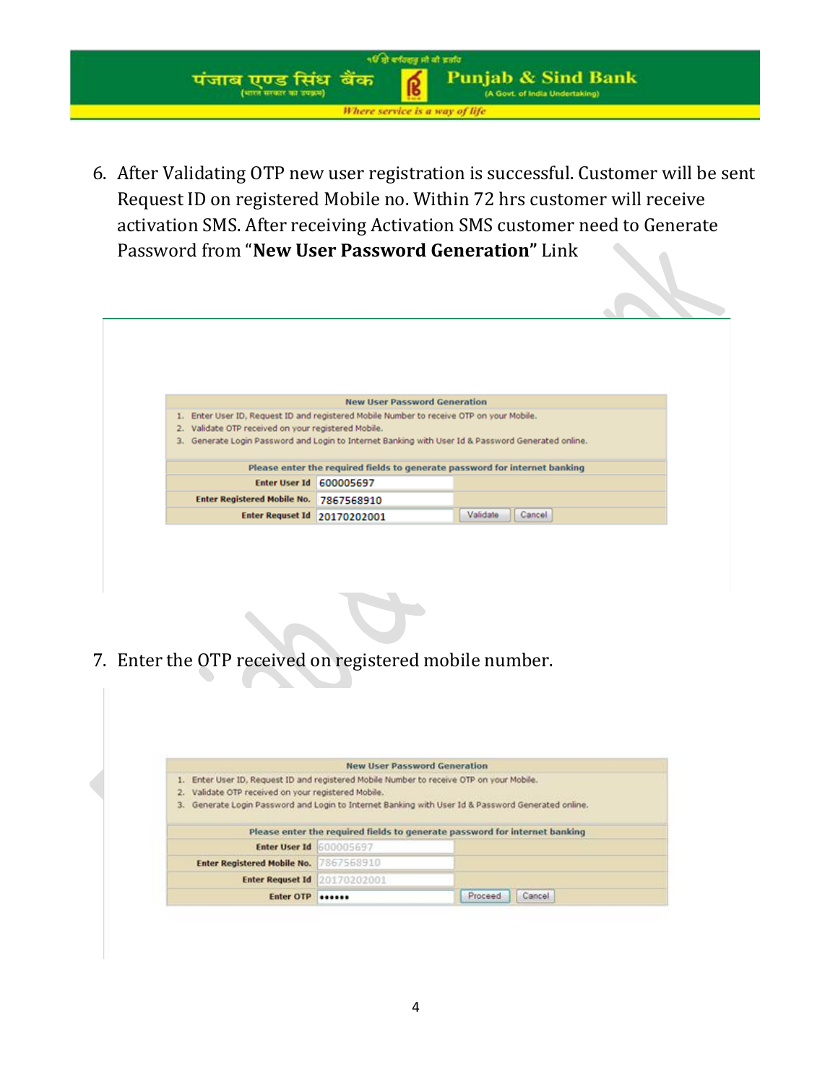

6. After Validating OTP new user registration is successful. Customer will be sent Request ID on registered Mobile no. Within 72 hrs customer will receive activation SMS. After receiving Activation SMS customer need to Generate Password from "**New User Password Generation"** Link



7. Enter the OTP received on registered mobile number.

| Validate OTP received on your registered Mobile.<br>2.<br>3.                          | Generate Login Password and Login to Internet Banking with User Id & Password Generated online. |  |
|---------------------------------------------------------------------------------------|-------------------------------------------------------------------------------------------------|--|
| Enter User ID, Request ID and registered Mobile Number to receive OTP on your Mobile. | <b>New User Password Generation</b>                                                             |  |